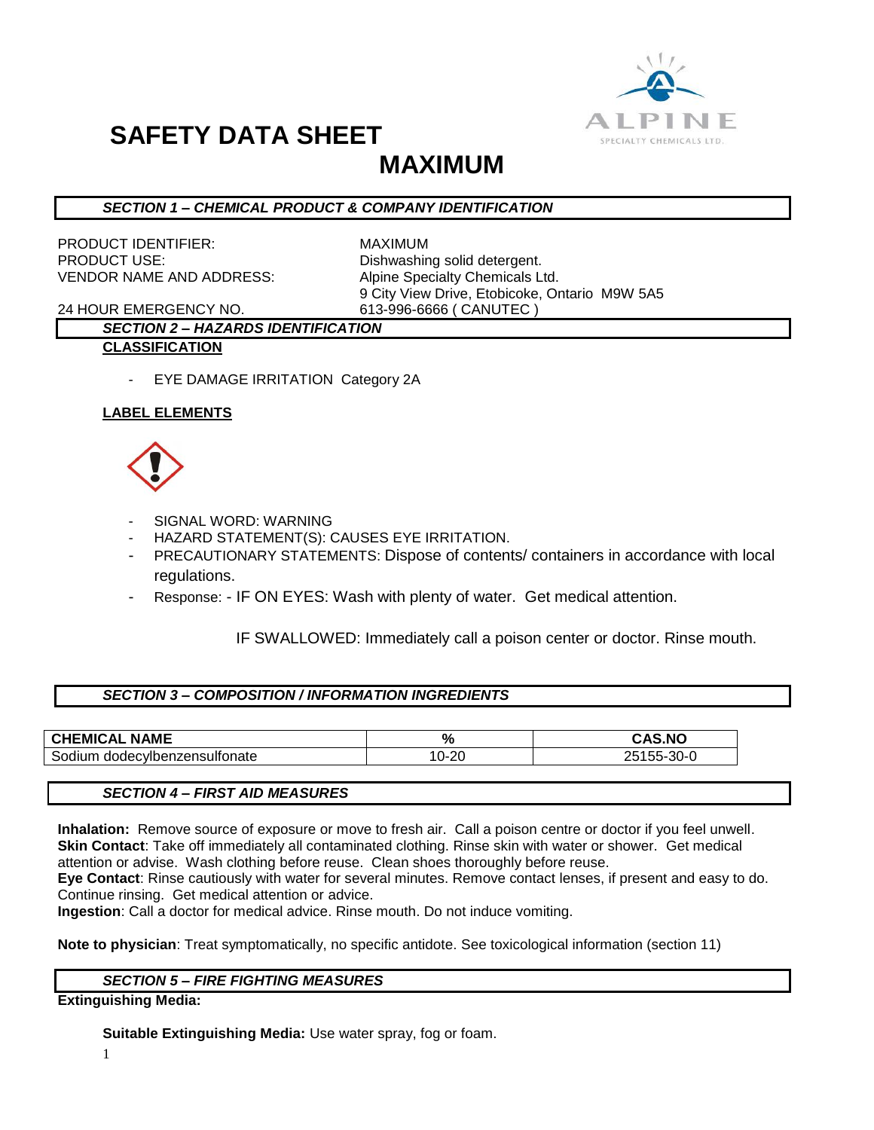

## **SAFETY DATA SHEET**

## **MAXIMUM**

## *SECTION 1 – CHEMICAL PRODUCT & COMPANY IDENTIFICATION*

PRODUCT IDENTIFIER: MAXIMUM PRODUCT USE: Dishwashing solid detergent. VENDOR NAME AND ADDRESS: Alpine Specialty Chemicals Ltd.

9 City View Drive, Etobicoke, Ontario M9W 5A5

24 HOUR EMERGENCY NO. 613-996-6666 ( CANUTEC )

### *SECTION 2 – HAZARDS IDENTIFICATION* **CLASSIFICATION**

- EYE DAMAGE IRRITATION Category 2A

## **LABEL ELEMENTS**



- SIGNAL WORD: WARNING
- HAZARD STATEMENT(S): CAUSES EYE IRRITATION.
- PRECAUTIONARY STATEMENTS: Dispose of contents/ containers in accordance with local regulations.
- Response: IF ON EYES: Wash with plenty of water. Get medical attention.

IF SWALLOWED: Immediately call a poison center or doctor. Rinse mouth.

## *SECTION 3 – COMPOSITION / INFORMATION INGREDIENTS*

| <b>NAME</b><br><b>CHEMICAL</b>            | $\mathbf{o}$<br>70 | <b>CAS.NO</b>                             |
|-------------------------------------------|--------------------|-------------------------------------------|
| iboć.<br>:viber<br>anaec<br>nzensullonate | ററ<br>•∠u          | $\sim$ $\sim$<br>᠈<br>30-0<br>$\cdot$ 55- |

### *SECTION 4 – FIRST AID MEASURES*

**Inhalation:** Remove source of exposure or move to fresh air. Call a poison centre or doctor if you feel unwell. **Skin Contact**: Take off immediately all contaminated clothing. Rinse skin with water or shower. Get medical attention or advise. Wash clothing before reuse. Clean shoes thoroughly before reuse.

**Eye Contact**: Rinse cautiously with water for several minutes. Remove contact lenses, if present and easy to do. Continue rinsing. Get medical attention or advice.

**Ingestion**: Call a doctor for medical advice. Rinse mouth. Do not induce vomiting.

**Note to physician**: Treat symptomatically, no specific antidote. See toxicological information (section 11)

## *SECTION 5 – FIRE FIGHTING MEASURES*

**Extinguishing Media:**

**Suitable Extinguishing Media:** Use water spray, fog or foam.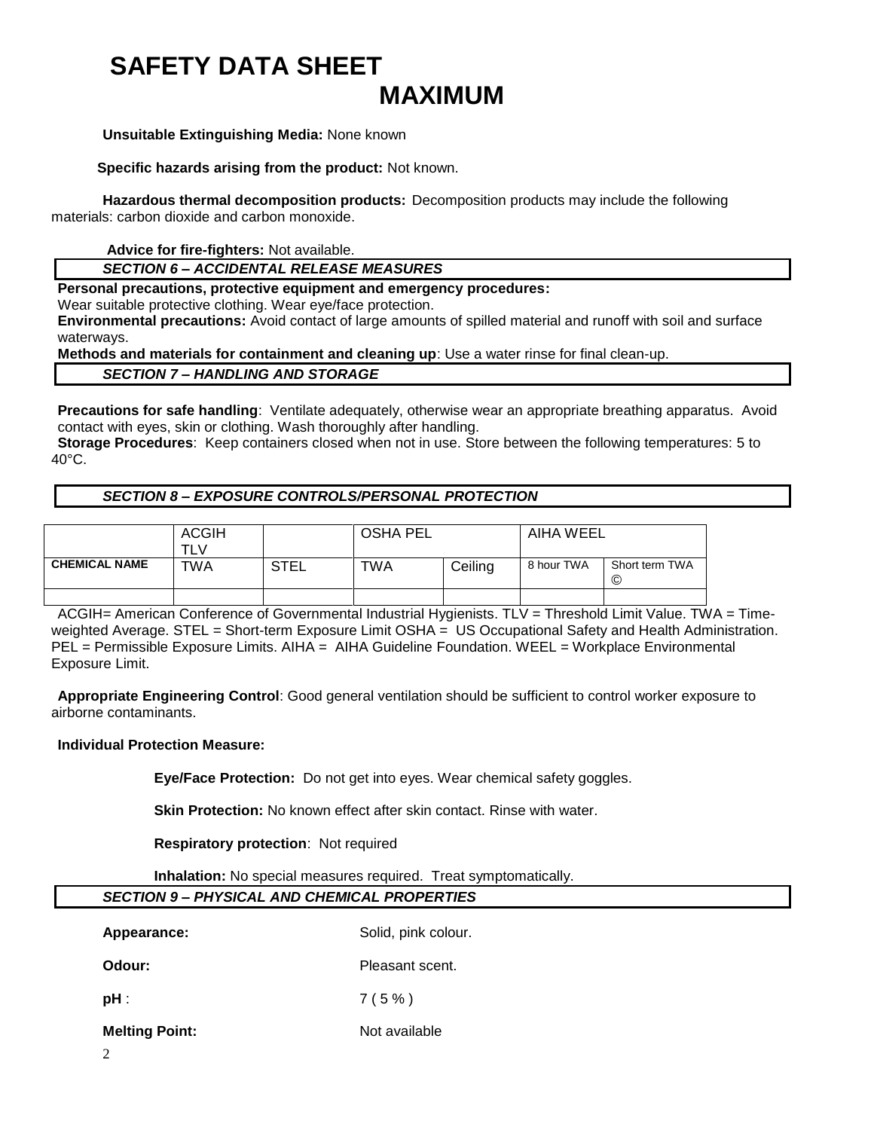## **SAFETY DATA SHEET MAXIMUM**

#### **Unsuitable Extinguishing Media:** None known

 **Specific hazards arising from the product:** Not known.

**Hazardous thermal decomposition products:** Decomposition products may include the following materials: carbon dioxide and carbon monoxide.

**Advice for fire-fighters:** Not available.

### *SECTION 6 – ACCIDENTAL RELEASE MEASURES*

**Personal precautions, protective equipment and emergency procedures:**

Wear suitable protective clothing. Wear eye/face protection.

**Environmental precautions:** Avoid contact of large amounts of spilled material and runoff with soil and surface waterways.

**Methods and materials for containment and cleaning up**: Use a water rinse for final clean-up.

#### *SECTION 7 – HANDLING AND STORAGE*

**Precautions for safe handling**: Ventilate adequately, otherwise wear an appropriate breathing apparatus. Avoid contact with eyes, skin or clothing. Wash thoroughly after handling.

**Storage Procedures**: Keep containers closed when not in use. Store between the following temperatures: 5 to 40°C.

## *SECTION 8 – EXPOSURE CONTROLS/PERSONAL PROTECTION*

|                      | <b>ACGIH</b> |             | <b>OSHA PEL</b> |         | AIHA WEEL  |                     |
|----------------------|--------------|-------------|-----------------|---------|------------|---------------------|
| <b>CHEMICAL NAME</b> | TWA          | <b>STEL</b> | TWA             | Ceiling | 8 hour TWA | Short term TWA<br>O |
|                      |              |             |                 |         |            |                     |

ACGIH= American Conference of Governmental Industrial Hygienists. TLV = Threshold Limit Value. TWA = Timeweighted Average. STEL = Short-term Exposure Limit OSHA = US Occupational Safety and Health Administration. PEL = Permissible Exposure Limits. AIHA = AIHA Guideline Foundation. WEEL = Workplace Environmental Exposure Limit.

**Appropriate Engineering Control**: Good general ventilation should be sufficient to control worker exposure to airborne contaminants.

### **Individual Protection Measure:**

**Eye/Face Protection:** Do not get into eyes. Wear chemical safety goggles.

**Skin Protection:** No known effect after skin contact. Rinse with water.

**Respiratory protection**: Not required

**Inhalation:** No special measures required. Treat symptomatically.

## *SECTION 9 – PHYSICAL AND CHEMICAL PROPERTIES*

Appearance: Solid, pink colour. **Odour:** Pleasant scent. **pH** :  $7(5\%)$ 

**Melting Point:** Not available

2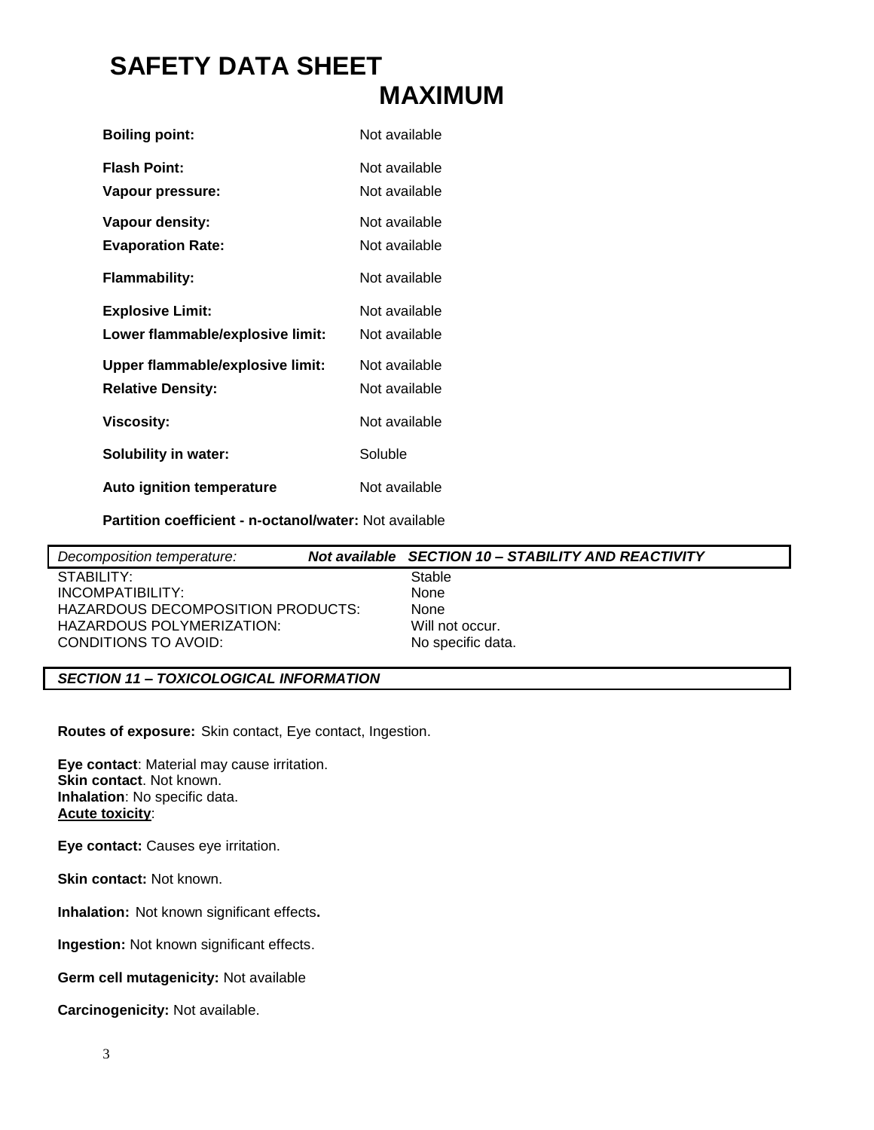# **SAFETY DATA SHEET MAXIMUM**

| <b>Boiling point:</b>                   | Not available                  |
|-----------------------------------------|--------------------------------|
| <b>Flash Point:</b>                     | Not available                  |
| Vapour pressure:<br>Vapour density:     | Not available<br>Not available |
| <b>Evaporation Rate:</b>                | Not available                  |
| <b>Flammability:</b>                    | Not available                  |
| <b>Explosive Limit:</b>                 | Not available                  |
| Lower flammable/explosive limit:        | Not available                  |
| <b>Upper flammable/explosive limit:</b> | Not available                  |
| <b>Relative Density:</b>                | Not available                  |
| Viscosity:                              | Not available                  |
| <b>Solubility in water:</b>             | Soluble                        |
| Auto ignition temperature               | Not available                  |

**Partition coefficient - n-octanol/water:** Not available

| Not available SECTION 10 - STABILITY AND REACTIVITY |
|-----------------------------------------------------|
|                                                     |
|                                                     |
|                                                     |
|                                                     |
|                                                     |
|                                                     |

## *SECTION 11 – TOXICOLOGICAL INFORMATION*

**Routes of exposure:** Skin contact, Eye contact, Ingestion.

**Eye contact**: Material may cause irritation. **Skin contact**. Not known. **Inhalation**: No specific data. **Acute toxicity**:

**Eye contact:** Causes eye irritation.

**Skin contact:** Not known.

**Inhalation:** Not known significant effects**.**

**Ingestion:** Not known significant effects.

**Germ cell mutagenicity:** Not available

**Carcinogenicity:** Not available.